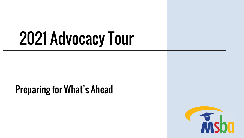# 2021 Advocacy Tour

### Preparing for What's Ahead

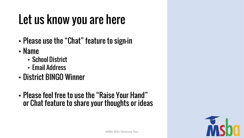### Let us know you are here

- Please use the "Chat" feature to sign-in
- Name
	- School District
	- Email Address
- District BINGO Winner
- Please feel free to use the "Raise Your Hand" or Chat feature to share your thoughts or ideas

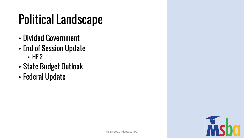### Political Landscape

- Divided Government
- End of Session Update • HF 2
- State Budget Outlook
- Federal Update

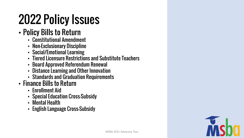## 2022 Policy Issues

#### • Policy Bills to Return

- Constitutional Amendment
- Non-Exclusionary Discipline
- Social/Emotional Learning
- Tiered Licensure Restrictions and Substitute Teachers
- Board Approved Referendum Renewal
- Distance Learning and Other Innovation
- Standards and Graduation Requirements
- Finance Bills to Return
	- Enrollment Aid
	- Special Education Cross-Subsidy
	- Mental Health
	- English Language Cross-Subsidy

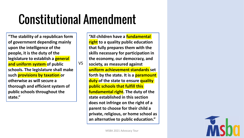### Constitutional Amendment

VS

**"The stability of a republican form of government depending mainly upon the intelligence of the people, it is the duty of the legislature to establish a general and uniform system of public schools. The legislature shall make such provisions by taxation or otherwise as will secure a thorough and efficient system of public schools throughout the state."**

**"All children have a fundamental right to a quality public education that fully prepares them with the skills necessary for participation in the economy, our democracy, and society, as measured against uniform achievement standards set forth by the state. It is a paramount duty of the state to ensure quality public schools that fulfill this fundamental right. The duty of the state established in this section does not infringe on the right of a parent to choose for their child a private, religious, or home school as an alternative to public education."**

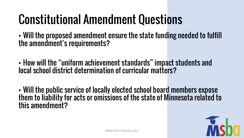### Constitutional Amendment Questions

• Will the proposed amendment ensure the state funding needed to fulfill the amendment's requirements?

• How will the "uniform achievement standards" impact students and local school district determination of curricular matters?

• Will the public service of locally elected school board members expose them to liability for acts or omissions of the state of Minnesota related to this amendment?

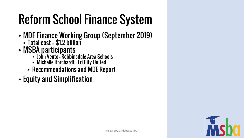## Reform School Finance System

- MDE Finance Working Group (September 2019)
	- Total cost = \$1.2 billion
- MSBA participants
	- John Vento Robbinsdale Area Schools
	- Michelle Borchardt Tri-City United
	- Recommendations and MDE Report
- Equity and Simplification

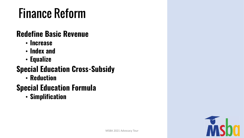### Finance Reform

#### **Redefine Basic Revenue**

- **Increase**
- **Index and**
- **Equalize**

#### **Special Education Cross-Subsidy**

• **Reduction**

#### **Special Education Formula**

• **Simplification**

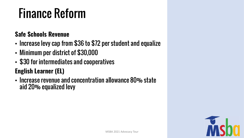### Finance Reform

#### **Safe Schools Revenue**

- Increase levy cap from \$36 to \$72 per student and equalize
- Minimum per district of \$30,000
- \$30 for intermediates and cooperatives

#### **English Learner (EL)**

• Increase revenue and concentration allowance 80% state aid 20% equalized levy

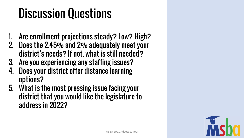### Discussion Questions

- 1. Are enrollment projections steady? Low? High?
- 2. Does the 2.45% and 2% adequately meet your district's needs? If not, what is still needed?
- 3. Are you experiencing any staffing issues?
- 4. Does your district offer distance learning options?
- 5. What is the most pressing issue facing your district that you would like the legislature to address in 2022?

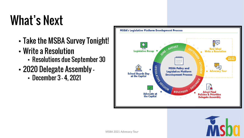### What's Next

- Take the MSBA Survey Tonight!
- Write a Resolution
	- Resolutions due September 30
- 2020 Delegate Assembly
	- December 3 4, 2021